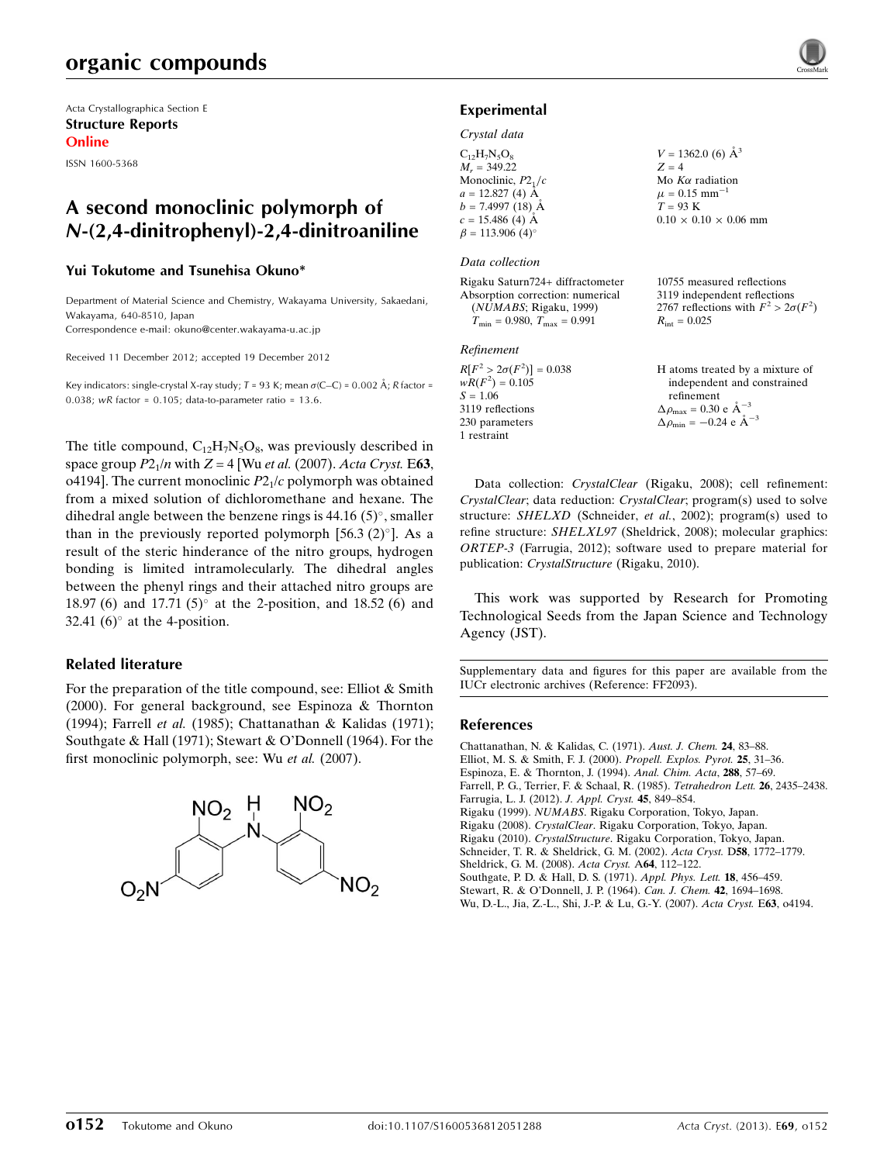# organic compounds

Acta Crystallographica Section E Structure Reports Online

ISSN 1600-5368

## A second monoclinic polymorph of N-(2,4-dinitrophenyl)-2,4-dinitroaniline

### Yui Tokutome and Tsunehisa Okuno\*

Department of Material Science and Chemistry, Wakayama University, Sakaedani, Wakayama, 640-8510, Japan

Correspondence e-mail: [okuno@center.wakayama-u.ac.jp](https://scripts.iucr.org/cgi-bin/cr.cgi?rm=pdfbb&cnor=ff2093&bbid=BB13)

Received 11 December 2012; accepted 19 December 2012

Key indicators: single-crystal X-ray study; T = 93 K; mean  $\sigma$ (C–C) = 0.002 Å; R factor = 0.038; wR factor =  $0.105$ ; data-to-parameter ratio =  $13.6$ .

The title compound,  $C_{12}H_7N_5O_8$ , was previously described in space group  $P2_1/n$  with  $Z = 4$  [Wu *et al.* (2007). Acta Cryst. E63, o4194]. The current monoclinic  $P2<sub>1</sub>/c$  polymorph was obtained from a mixed solution of dichloromethane and hexane. The dihedral angle between the benzene rings is  $44.16 (5)^\circ$ , smaller than in the previously reported polymorph  $[56.3 (2)^\circ]$ . As a result of the steric hinderance of the nitro groups, hydrogen bonding is limited intramolecularly. The dihedral angles between the phenyl rings and their attached nitro groups are 18.97 (6) and 17.71 (5) $^{\circ}$  at the 2-position, and 18.52 (6) and 32.41  $(6)^\circ$  at the 4-position.

## Related literature

For the preparation of the title compound, see: Elliot & Smith (2000). For general background, see Espinoza & Thornton (1994); Farrell et al. (1985); Chattanathan & Kalidas (1971); Southgate & Hall (1971); Stewart & O'Donnell (1964). For the first monoclinic polymorph, see: Wu et al. (2007).



## Experimental

#### Crystal data

| $C_{12}H_7N_5O_8$                  | $V = 1362.0$ (6) $\AA^3$          |
|------------------------------------|-----------------------------------|
| $M_r = 349.22$                     | $Z = 4$                           |
| Monoclinic, $P2_1/c$               | Mo $K\alpha$ radiation            |
| $a = 12.827(4)$ Å                  | $\mu = 0.15$ mm <sup>-1</sup>     |
| $b = 7.4997(18)$ Å                 | $T = 93$ K                        |
| $c = 15.486$ (4) Å                 | $0.10 \times 0.10 \times 0.06$ mm |
| $\beta = 113.906$ (4) <sup>o</sup> |                                   |
|                                    |                                   |

#### Data collection

Rigaku Saturn724+ diffractometer Absorption correction: numerical (NUMABS; Rigaku, 1999)  $T_{\text{min}} = 0.980, T_{\text{max}} = 0.991$ 

#### Refinement

| $R[F^2 > 2\sigma(F^2)] = 0.038$ |
|---------------------------------|
| $wR(F^2) = 0.105$               |
| $S = 1.06$                      |
| 3119 reflections                |
| 230 parameters                  |
| 1 restraint                     |

2767 reflections with  $F^2 > 2\sigma(F^2)$  $R_{\text{int}} = 0.025$ 

10755 measured reflections 3119 independent reflections

| H atoms treated by a mixture of                    |
|----------------------------------------------------|
| independent and constrained                        |
| refinement                                         |
| $\Delta \rho_{\text{max}} = 0.30 \text{ e A}^{-3}$ |
| $\Delta \rho_{\text{min}} = -0.24$ e $\AA^{-3}$    |

Data collection: CrystalClear (Rigaku, 2008); cell refinement: CrystalClear; data reduction: CrystalClear; program(s) used to solve structure: SHELXD (Schneider, et al., 2002); program(s) used to refine structure: SHELXL97 (Sheldrick, 2008); molecular graphics: ORTEP-3 (Farrugia, 2012); software used to prepare material for publication: CrystalStructure (Rigaku, 2010).

This work was supported by Research for Promoting Technological Seeds from the Japan Science and Technology Agency (JST).

Supplementary data and figures for this paper are available from the IUCr electronic archives (Reference: FF2093).

### References

[Chattanathan, N. & Kalidas, C. \(1971\).](https://scripts.iucr.org/cgi-bin/cr.cgi?rm=pdfbb&cnor=ff2093&bbid=BB1) Aust. J. Chem. 24, 83–88. [Elliot, M. S. & Smith, F. J. \(2000\).](https://scripts.iucr.org/cgi-bin/cr.cgi?rm=pdfbb&cnor=ff2093&bbid=BB2) Propell. Explos. Pyrot. 25, 31–36. [Espinoza, E. & Thornton, J. \(1994\).](https://scripts.iucr.org/cgi-bin/cr.cgi?rm=pdfbb&cnor=ff2093&bbid=BB3) Anal. Chim. Acta, 288, 57–69. [Farrell, P. G., Terrier, F. & Schaal, R. \(1985\).](https://scripts.iucr.org/cgi-bin/cr.cgi?rm=pdfbb&cnor=ff2093&bbid=BB4) Tetrahedron Lett. 26, 2435–2438. [Farrugia, L. J. \(2012\).](https://scripts.iucr.org/cgi-bin/cr.cgi?rm=pdfbb&cnor=ff2093&bbid=BB5) J. Appl. Cryst. 45, 849–854. Rigaku (1999). NUMABS[. Rigaku Corporation, Tokyo, Japan.](https://scripts.iucr.org/cgi-bin/cr.cgi?rm=pdfbb&cnor=ff2093&bbid=BB6) Rigaku (2008). CrystalClear[. Rigaku Corporation, Tokyo, Japan.](https://scripts.iucr.org/cgi-bin/cr.cgi?rm=pdfbb&cnor=ff2093&bbid=BB7) Rigaku (2010). CrystalStructure[. Rigaku Corporation, Tokyo, Japan.](https://scripts.iucr.org/cgi-bin/cr.cgi?rm=pdfbb&cnor=ff2093&bbid=BB8) [Schneider, T. R. & Sheldrick, G. M. \(2002\).](https://scripts.iucr.org/cgi-bin/cr.cgi?rm=pdfbb&cnor=ff2093&bbid=BB9) Acta Cryst. D58, 1772–1779. [Sheldrick, G. M. \(2008\).](https://scripts.iucr.org/cgi-bin/cr.cgi?rm=pdfbb&cnor=ff2093&bbid=BB10) Acta Cryst. A64, 112–122. [Southgate, P. D. & Hall, D. S. \(1971\).](https://scripts.iucr.org/cgi-bin/cr.cgi?rm=pdfbb&cnor=ff2093&bbid=BB11) Appl. Phys. Lett. 18, 456–459. [Stewart, R. & O'Donnell, J. P. \(1964\).](https://scripts.iucr.org/cgi-bin/cr.cgi?rm=pdfbb&cnor=ff2093&bbid=BB12) Can. J. Chem. 42, 1694–1698. [Wu, D.-L., Jia, Z.-L., Shi, J.-P. & Lu, G.-Y. \(2007\).](https://scripts.iucr.org/cgi-bin/cr.cgi?rm=pdfbb&cnor=ff2093&bbid=BB13) Acta Cryst. E63, o4194.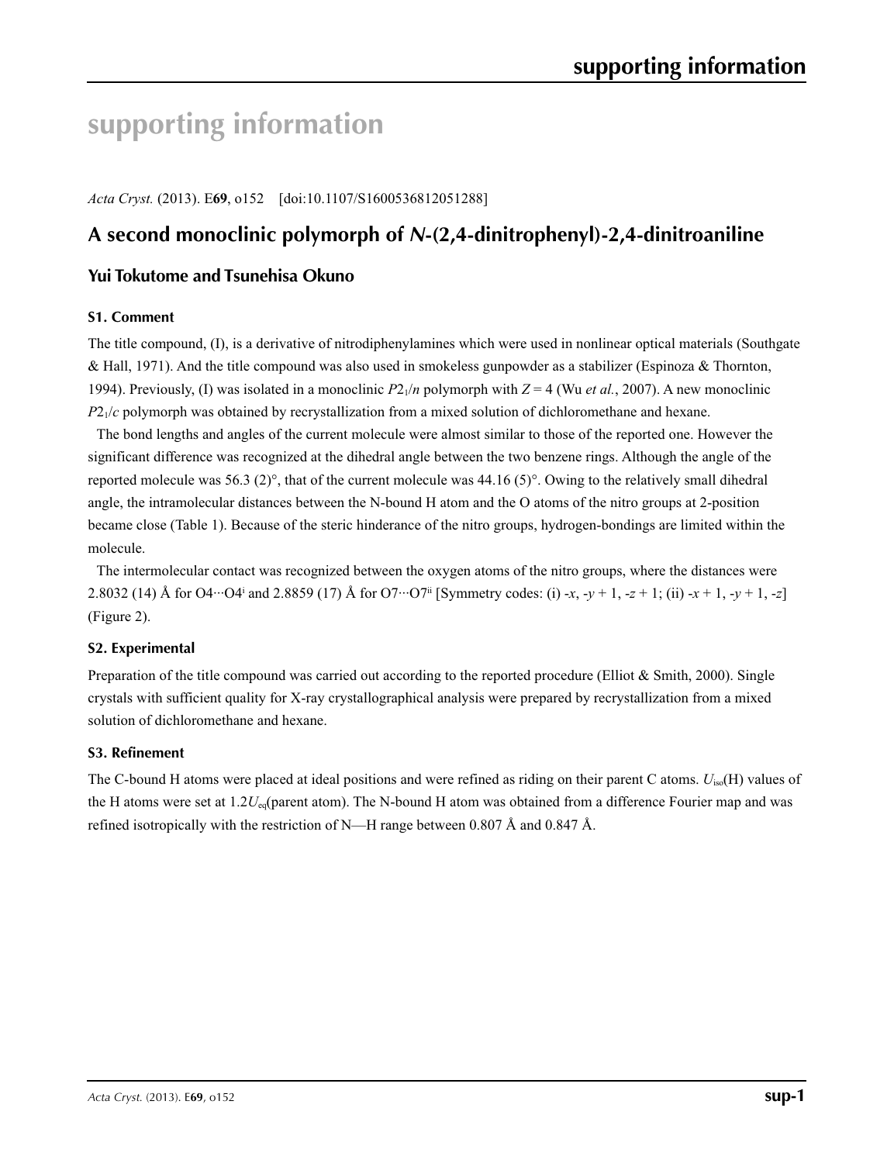# **supporting information**

*Acta Cryst.* (2013). E**69**, o152 [doi:10.1107/S1600536812051288]

## **A second monoclinic polymorph of** *N***-(2,4-dinitrophenyl)-2,4-dinitroaniline**

## **Yui Tokutome and Tsunehisa Okuno**

## **S1. Comment**

The title compound, (I), is a derivative of nitrodiphenylamines which were used in nonlinear optical materials (Southgate & Hall, 1971). And the title compound was also used in smokeless gunpowder as a stabilizer (Espinoza & Thornton, 1994). Previously, (I) was isolated in a monoclinic  $P_2/$ *n* polymorph with  $Z = 4$  (Wu *et al.*, 2007). A new monoclinic *P*2<sub>1</sub>/*c* polymorph was obtained by recrystallization from a mixed solution of dichloromethane and hexane.

The bond lengths and angles of the current molecule were almost similar to those of the reported one. However the significant difference was recognized at the dihedral angle between the two benzene rings. Although the angle of the reported molecule was 56.3 (2)°, that of the current molecule was 44.16 (5)°. Owing to the relatively small dihedral angle, the intramolecular distances between the N-bound H atom and the O atoms of the nitro groups at 2-position became close (Table 1). Because of the steric hinderance of the nitro groups, hydrogen-bondings are limited within the molecule.

The intermolecular contact was recognized between the oxygen atoms of the nitro groups, where the distances were 2.8032 (14) Å for O4···O4i and 2.8859 (17) Å for O7···O7ii [Symmetry codes: (i) -*x*, -*y* + 1, -*z* + 1; (ii) -*x* + 1, -*y* + 1, -*z*] (Figure 2).

## **S2. Experimental**

Preparation of the title compound was carried out according to the reported procedure (Elliot & Smith, 2000). Single crystals with sufficient quality for X-ray crystallographical analysis were prepared by recrystallization from a mixed solution of dichloromethane and hexane.

## **S3. Refinement**

The C-bound H atoms were placed at ideal positions and were refined as riding on their parent C atoms. *U*iso(H) values of the H atoms were set at 1.2*U*<sub>eq</sub>(parent atom). The N-bound H atom was obtained from a difference Fourier map and was refined isotropically with the restriction of N—H range between 0.807 Å and 0.847 Å.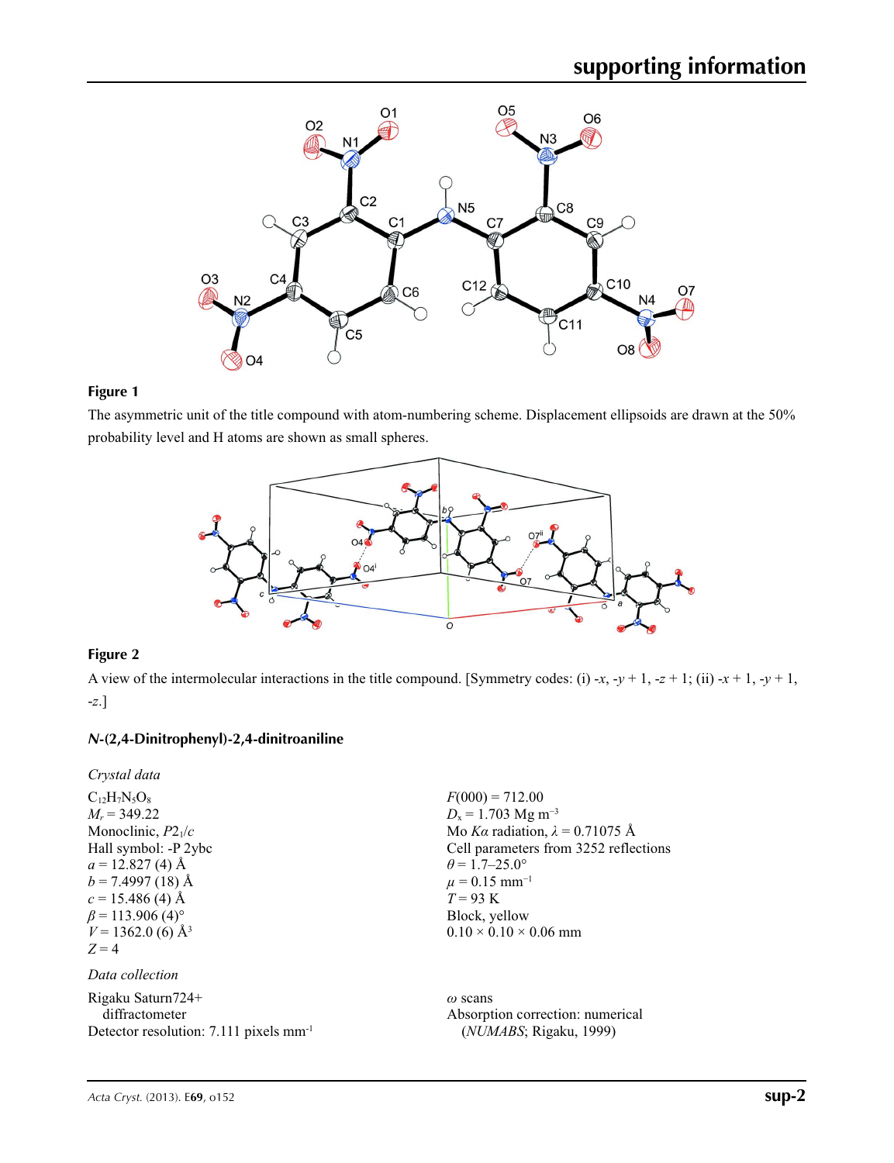

## **Figure 1**

The asymmetric unit of the title compound with atom-numbering scheme. Displacement ellipsoids are drawn at the 50% probability level and H atoms are shown as small spheres.



## **Figure 2**

A view of the intermolecular interactions in the title compound. [Symmetry codes: (i) -*x*, -*y* + 1, -*z* + 1; (ii) -*x* + 1, -*y* + 1, -*z*.]

## *N***-(2,4-Dinitrophenyl)-2,4-dinitroaniline**

*Crystal data*

```
C_{12}H_7N_5O_8M_r = 349.22
Monoclinic, P21/c
Hall symbol: -P 2ybc
a = 12.827(4) Å
b = 7.4997(18) Å
c = 15.486 (4) Å
\beta = 113.906 (4)<sup>o</sup>
V = 1362.0 (6) Å<sup>3</sup>
Z = 4
```
*Data collection*

Rigaku Saturn724+ diffractometer Detector resolution: 7.111 pixels mm-1  $F(000) = 712.00$ *D*<sub>x</sub> = 1.703 Mg m<sup>-3</sup> Mo *Kα* radiation, *λ* = 0.71075 Å Cell parameters from 3252 reflections  $\theta$  = 1.7–25.0°  $\mu$  = 0.15 mm<sup>-1</sup> *T* = 93 K Block, yellow  $0.10 \times 0.10 \times 0.06$  mm

*ω* scans Absorption correction: numerical (*NUMABS*; Rigaku, 1999)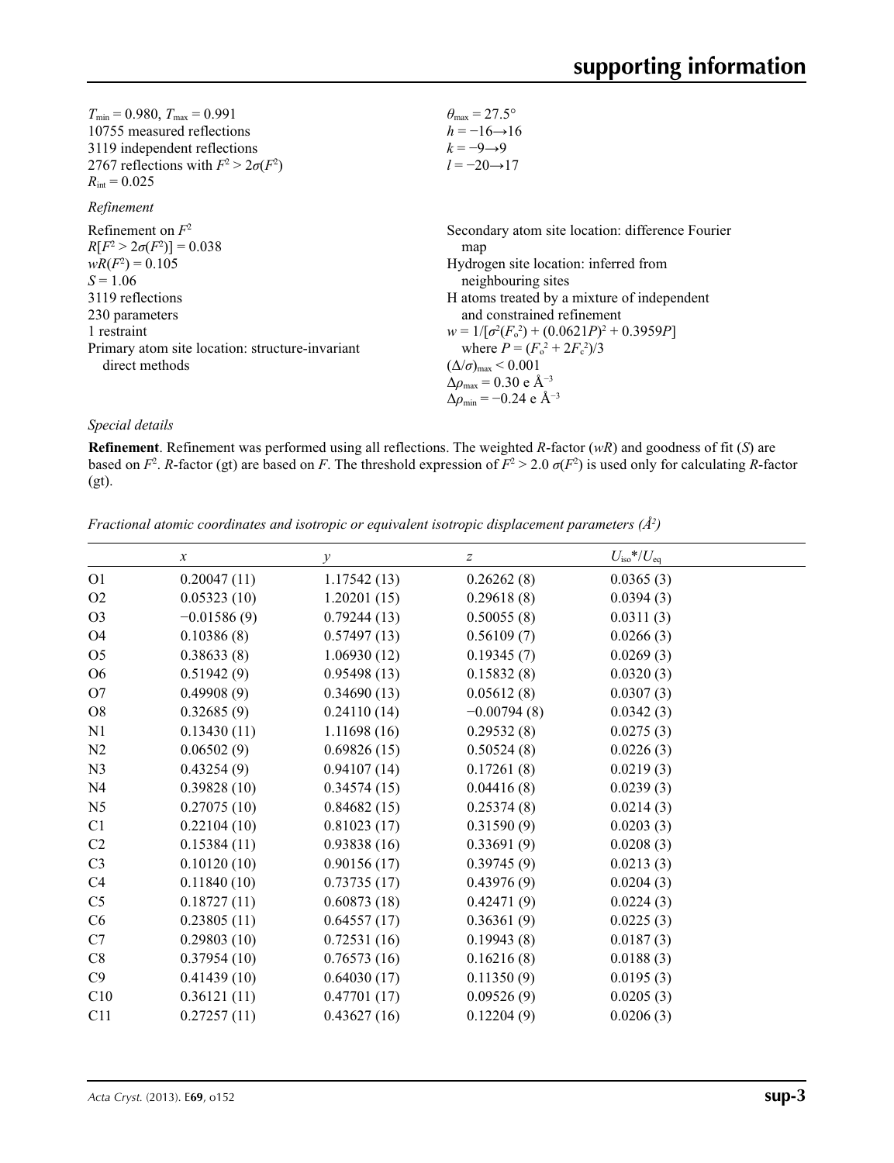| $T_{\min} = 0.980, T_{\max} = 0.991$            | $\theta_{\rm max} = 27.5^{\circ}$                          |
|-------------------------------------------------|------------------------------------------------------------|
| 10755 measured reflections                      | $h = -16 \rightarrow 16$                                   |
| 3119 independent reflections                    | $k=-9 \rightarrow 9$                                       |
| 2767 reflections with $F^2 > 2\sigma(F^2)$      | $l = -20 \rightarrow 17$                                   |
| $R_{\text{int}} = 0.025$                        |                                                            |
| Refinement                                      |                                                            |
| Refinement on $F^2$                             | Secondary atom site location: difference Fourier           |
| $R[F^2 > 2\sigma(F^2)] = 0.038$                 | map                                                        |
| $wR(F^2) = 0.105$                               | Hydrogen site location: inferred from                      |
| $S = 1.06$                                      | neighbouring sites                                         |
| 3119 reflections                                | H atoms treated by a mixture of independent                |
| 230 parameters                                  | and constrained refinement                                 |
| 1 restraint                                     | $w = 1/[\sigma^2(F_0^2) + (0.0621P)^2 + 0.3959P]$          |
| Primary atom site location: structure-invariant | where $P = (F_o^2 + 2F_c^2)/3$                             |
| direct methods                                  | $(\Delta/\sigma)_{\text{max}}$ < 0.001                     |
|                                                 | $\Delta\rho_{\text{max}}$ = 0.30 e Å <sup>-3</sup>         |
|                                                 | $\Delta \rho_{\rm min} = -0.24 \text{ e } \text{\AA}^{-3}$ |

## *Special details*

**Refinement**. Refinement was performed using all reflections. The weighted *R*-factor (*wR*) and goodness of fit (*S*) are based on  $F^2$ . *R*-factor (gt) are based on *F*. The threshold expression of  $F^2 > 2.0 \sigma(F^2)$  is used only for calculating *R*-factor (gt).

|                | $\boldsymbol{x}$ | y           | $\boldsymbol{Z}$ | $U_{\rm iso}*/U_{\rm eq}$ |  |
|----------------|------------------|-------------|------------------|---------------------------|--|
| O <sub>1</sub> | 0.20047(11)      | 1.17542(13) | 0.26262(8)       | 0.0365(3)                 |  |
| O <sub>2</sub> | 0.05323(10)      | 1.20201(15) | 0.29618(8)       | 0.0394(3)                 |  |
| O <sub>3</sub> | $-0.01586(9)$    | 0.79244(13) | 0.50055(8)       | 0.0311(3)                 |  |
| O4             | 0.10386(8)       | 0.57497(13) | 0.56109(7)       | 0.0266(3)                 |  |
| O <sub>5</sub> | 0.38633(8)       | 1.06930(12) | 0.19345(7)       | 0.0269(3)                 |  |
| O <sub>6</sub> | 0.51942(9)       | 0.95498(13) | 0.15832(8)       | 0.0320(3)                 |  |
| O <sub>7</sub> | 0.49908(9)       | 0.34690(13) | 0.05612(8)       | 0.0307(3)                 |  |
| O <sub>8</sub> | 0.32685(9)       | 0.24110(14) | $-0.00794(8)$    | 0.0342(3)                 |  |
| N <sub>1</sub> | 0.13430(11)      | 1.11698(16) | 0.29532(8)       | 0.0275(3)                 |  |
| N2             | 0.06502(9)       | 0.69826(15) | 0.50524(8)       | 0.0226(3)                 |  |
| N <sub>3</sub> | 0.43254(9)       | 0.94107(14) | 0.17261(8)       | 0.0219(3)                 |  |
| N <sub>4</sub> | 0.39828(10)      | 0.34574(15) | 0.04416(8)       | 0.0239(3)                 |  |
| N <sub>5</sub> | 0.27075(10)      | 0.84682(15) | 0.25374(8)       | 0.0214(3)                 |  |
| C1             | 0.22104(10)      | 0.81023(17) | 0.31590(9)       | 0.0203(3)                 |  |
| C <sub>2</sub> | 0.15384(11)      | 0.93838(16) | 0.33691(9)       | 0.0208(3)                 |  |
| C <sub>3</sub> | 0.10120(10)      | 0.90156(17) | 0.39745(9)       | 0.0213(3)                 |  |
| C4             | 0.11840(10)      | 0.73735(17) | 0.43976(9)       | 0.0204(3)                 |  |
| C <sub>5</sub> | 0.18727(11)      | 0.60873(18) | 0.42471(9)       | 0.0224(3)                 |  |
| C6             | 0.23805(11)      | 0.64557(17) | 0.36361(9)       | 0.0225(3)                 |  |
| C7             | 0.29803(10)      | 0.72531(16) | 0.19943(8)       | 0.0187(3)                 |  |
| C8             | 0.37954(10)      | 0.76573(16) | 0.16216(8)       | 0.0188(3)                 |  |
| C9             | 0.41439(10)      | 0.64030(17) | 0.11350(9)       | 0.0195(3)                 |  |
| C10            | 0.36121(11)      | 0.47701(17) | 0.09526(9)       | 0.0205(3)                 |  |
| C11            | 0.27257(11)      | 0.43627(16) | 0.12204(9)       | 0.0206(3)                 |  |

*Fractional atomic coordinates and isotropic or equivalent isotropic displacement parameters (Å<sup>2</sup>)*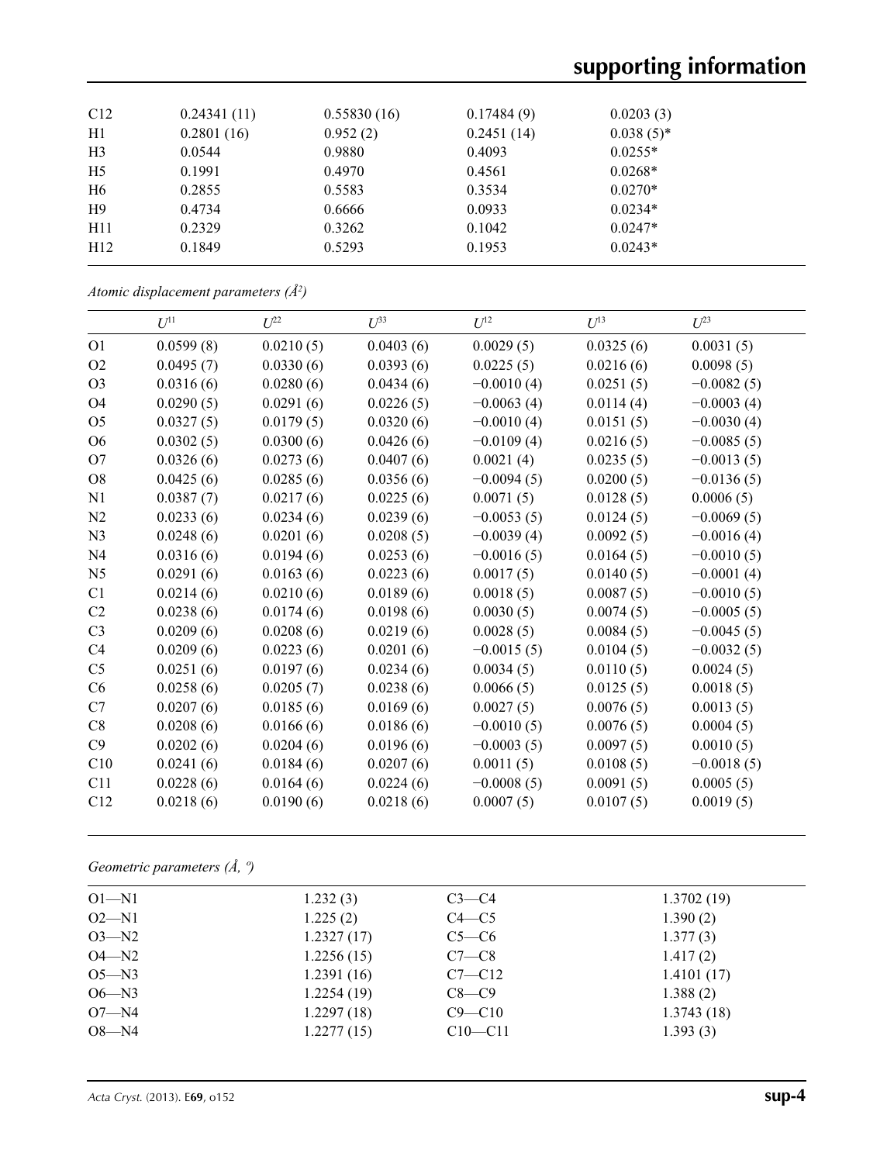# **supporting information**

| C12            | 0.24341(11) | 0.55830(16) | 0.17484(9) | 0.0203(3)    |  |
|----------------|-------------|-------------|------------|--------------|--|
| H1             | 0.2801(16)  | 0.952(2)    | 0.2451(14) | $0.038(5)$ * |  |
| H <sub>3</sub> | 0.0544      | 0.9880      | 0.4093     | $0.0255*$    |  |
| H <sub>5</sub> | 0.1991      | 0.4970      | 0.4561     | $0.0268*$    |  |
| H <sub>6</sub> | 0.2855      | 0.5583      | 0.3534     | $0.0270*$    |  |
| H9             | 0.4734      | 0.6666      | 0.0933     | $0.0234*$    |  |
| H11            | 0.2329      | 0.3262      | 0.1042     | $0.0247*$    |  |
| H12            | 0.1849      | 0.5293      | 0.1953     | $0.0243*$    |  |
|                |             |             |            |              |  |

|  | Atomic displacement parameters $(\AA^2)$ |  |  |
|--|------------------------------------------|--|--|
|--|------------------------------------------|--|--|

|                | $U^{11}$  | $U^{22}$  | $U^{33}$  | $U^{12}$     | $U^{13}$  | $U^{23}$     |
|----------------|-----------|-----------|-----------|--------------|-----------|--------------|
| O <sub>1</sub> | 0.0599(8) | 0.0210(5) | 0.0403(6) | 0.0029(5)    | 0.0325(6) | 0.0031(5)    |
| O <sub>2</sub> | 0.0495(7) | 0.0330(6) | 0.0393(6) | 0.0225(5)    | 0.0216(6) | 0.0098(5)    |
| O <sub>3</sub> | 0.0316(6) | 0.0280(6) | 0.0434(6) | $-0.0010(4)$ | 0.0251(5) | $-0.0082(5)$ |
| O4             | 0.0290(5) | 0.0291(6) | 0.0226(5) | $-0.0063(4)$ | 0.0114(4) | $-0.0003(4)$ |
| O <sub>5</sub> | 0.0327(5) | 0.0179(5) | 0.0320(6) | $-0.0010(4)$ | 0.0151(5) | $-0.0030(4)$ |
| O <sub>6</sub> | 0.0302(5) | 0.0300(6) | 0.0426(6) | $-0.0109(4)$ | 0.0216(5) | $-0.0085(5)$ |
| O <sub>7</sub> | 0.0326(6) | 0.0273(6) | 0.0407(6) | 0.0021(4)    | 0.0235(5) | $-0.0013(5)$ |
| O <sub>8</sub> | 0.0425(6) | 0.0285(6) | 0.0356(6) | $-0.0094(5)$ | 0.0200(5) | $-0.0136(5)$ |
| N1             | 0.0387(7) | 0.0217(6) | 0.0225(6) | 0.0071(5)    | 0.0128(5) | 0.0006(5)    |
| N2             | 0.0233(6) | 0.0234(6) | 0.0239(6) | $-0.0053(5)$ | 0.0124(5) | $-0.0069(5)$ |
| N <sub>3</sub> | 0.0248(6) | 0.0201(6) | 0.0208(5) | $-0.0039(4)$ | 0.0092(5) | $-0.0016(4)$ |
| N <sub>4</sub> | 0.0316(6) | 0.0194(6) | 0.0253(6) | $-0.0016(5)$ | 0.0164(5) | $-0.0010(5)$ |
| N <sub>5</sub> | 0.0291(6) | 0.0163(6) | 0.0223(6) | 0.0017(5)    | 0.0140(5) | $-0.0001(4)$ |
| C1             | 0.0214(6) | 0.0210(6) | 0.0189(6) | 0.0018(5)    | 0.0087(5) | $-0.0010(5)$ |
| C <sub>2</sub> | 0.0238(6) | 0.0174(6) | 0.0198(6) | 0.0030(5)    | 0.0074(5) | $-0.0005(5)$ |
| C <sub>3</sub> | 0.0209(6) | 0.0208(6) | 0.0219(6) | 0.0028(5)    | 0.0084(5) | $-0.0045(5)$ |
| C4             | 0.0209(6) | 0.0223(6) | 0.0201(6) | $-0.0015(5)$ | 0.0104(5) | $-0.0032(5)$ |
| C <sub>5</sub> | 0.0251(6) | 0.0197(6) | 0.0234(6) | 0.0034(5)    | 0.0110(5) | 0.0024(5)    |
| C6             | 0.0258(6) | 0.0205(7) | 0.0238(6) | 0.0066(5)    | 0.0125(5) | 0.0018(5)    |
| C7             | 0.0207(6) | 0.0185(6) | 0.0169(6) | 0.0027(5)    | 0.0076(5) | 0.0013(5)    |
| C8             | 0.0208(6) | 0.0166(6) | 0.0186(6) | $-0.0010(5)$ | 0.0076(5) | 0.0004(5)    |
| C9             | 0.0202(6) | 0.0204(6) | 0.0196(6) | $-0.0003(5)$ | 0.0097(5) | 0.0010(5)    |
| C10            | 0.0241(6) | 0.0184(6) | 0.0207(6) | 0.0011(5)    | 0.0108(5) | $-0.0018(5)$ |
| C11            | 0.0228(6) | 0.0164(6) | 0.0224(6) | $-0.0008(5)$ | 0.0091(5) | 0.0005(5)    |
| C12            | 0.0218(6) | 0.0190(6) | 0.0218(6) | 0.0007(5)    | 0.0107(5) | 0.0019(5)    |

*Geometric parameters (Å, º)*

| $O1 - N1$ | 1.232(3)   | $C3-C4$     | 1.3702(19) |
|-----------|------------|-------------|------------|
| $O2 - N1$ | 1.225(2)   | $C4 - C5$   | 1.390(2)   |
| $O3 - N2$ | 1.2327(17) | $C5-C6$     | 1.377(3)   |
| $O4 - N2$ | 1.2256(15) | $C7-C8$     | 1.417(2)   |
| $O5 - N3$ | 1.2391(16) | $C7 - C12$  | 1.4101(17) |
| $O6 - N3$ | 1.2254(19) | $C8-C9$     | 1.388(2)   |
| $O7 - N4$ | 1.2297(18) | $C9 - C10$  | 1.3743(18) |
| $O8 - N4$ | 1.2277(15) | $C10 - C11$ | 1.393(3)   |
|           |            |             |            |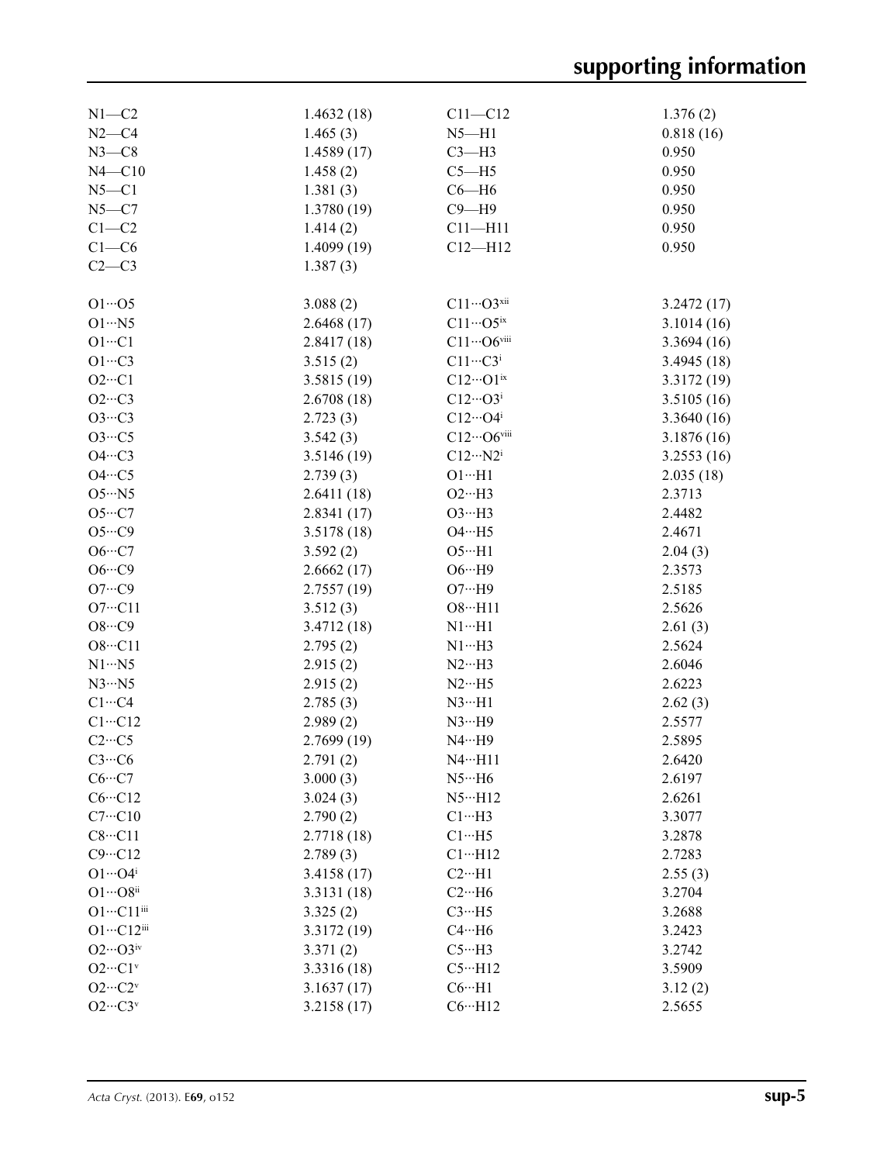| $N1 - C2$                   | 1.4632(18)  | $C11 - C12$                  | 1.376(2)    |
|-----------------------------|-------------|------------------------------|-------------|
| $N2-C4$                     | 1.465(3)    | $N5 - H1$                    | 0.818(16)   |
| $N3-C8$                     | 1.4589(17)  | $C3-H3$                      | 0.950       |
| $N4 - C10$                  | 1.458(2)    | $C5 - H5$                    | 0.950       |
| $N5 - C1$                   | 1.381(3)    | $C6 - H6$                    | 0.950       |
| $N5 - C7$                   | 1.3780(19)  | $C9 - H9$                    | 0.950       |
| $C1-C2$                     | 1.414(2)    | $C11 - H11$                  | 0.950       |
| $C1-C6$                     | 1.4099(19)  | $C12 - H12$                  | 0.950       |
| $C2-C3$                     | 1.387(3)    |                              |             |
|                             |             |                              |             |
| $O1 \cdot 05$               | 3.088(2)    | $C11\cdots O3^{xii}$         | 3.2472(17)  |
| $O1 \cdot \cdot \cdot N5$   | 2.6468(17)  | $C11\cdots$ O5ix             | 3.1014(16)  |
| $O1 \cdots C1$              | 2.8417(18)  | $C11\cdots$ O6viii           | 3.3694(16)  |
| $O1 \cdot \cdot \cdot C3$   | 3.515(2)    | $C11 \cdots C3$ <sup>i</sup> | 3.4945(18)  |
| $O2 \cdot \cdot \cdot Cl$   | 3.5815(19)  | $C12\cdots O1^{ix}$          | 3.3172(19)  |
| $O2 \cdot \cdot \cdot C3$   | 2.6708(18)  | $C12\cdots O3^i$             | 3.5105(16)  |
|                             |             | $C12\cdots O4^i$             |             |
| $O3 \cdot \cdot \cdot C3$   | 2.723(3)    |                              | 3.3640 (16) |
| $O3 \cdot \cdot \cdot C5$   | 3.542(3)    | $C12\cdots$ O6viii           | 3.1876(16)  |
| $O4 \cdot \cdot \cdot C3$   | 3.5146(19)  | $C12 \cdots N2^i$            | 3.2553(16)  |
| $O4 \cdot \cdot \cdot C5$   | 2.739(3)    | $O1 \cdot H1$                | 2.035(18)   |
| $O5 \cdot \cdot \cdot N5$   | 2.6411(18)  | $O2 \cdot \cdot \cdot H3$    | 2.3713      |
| $O5\cdot\cdot\cdot C7$      | 2.8341(17)  | $O3 \cdot \cdot \cdot H3$    | 2.4482      |
| $O5 \cdot \cdot \cdot CO$   | 3.5178(18)  | $O4 \cdot \cdot \cdot H5$    | 2.4671      |
| $O6 \cdots C7$              | 3.592(2)    | $O5 \cdot H1$                | 2.04(3)     |
| $O6 \cdots C9$              | 2.6662(17)  | $O6 \cdot \cdot \cdot H9$    | 2.3573      |
| $O7 \cdot \cdot \cdot C9$   | 2.7557(19)  | $O7 \cdot \cdot \cdot H9$    | 2.5185      |
| $O7 \cdot \cdot \cdot C11$  | 3.512(3)    | $O8 \cdot \cdot \cdot H11$   | 2.5626      |
| $O8\cdot \cdot \cdot C9$    | 3.4712(18)  | $N1 \cdots H1$               | 2.61(3)     |
| $O8 \cdot \cdot \cdot C11$  | 2.795(2)    | $N1 \cdots H3$               | 2.5624      |
| $N1 \cdots N5$              | 2.915(2)    | $N2 \cdots H3$               | 2.6046      |
| $N3 \cdot N5$               | 2.915(2)    | $N2 \cdot \cdot \cdot$ H5    | 2.6223      |
| $C1 \cdots C4$              | 2.785(3)    | $N3 \cdot H1$                | 2.62(3)     |
| $C1 \cdots C12$             | 2.989(2)    | $N3 \cdots H9$               | 2.5577      |
| $C2 \cdots C5$              | 2.7699 (19) | $N4 \cdots H9$               | 2.5895      |
| $C3 \cdots C6$              | 2.791(2)    | $N4 \cdot \cdot \cdot H11$   | 2.6420      |
| $C6 \cdots C7$              | 3.000(3)    | $N5 \cdot \cdot \cdot H6$    | 2.6197      |
| $C6 \cdots C12$             | 3.024(3)    | $N5 \cdot \cdot \cdot H12$   | 2.6261      |
| $C7 \cdots C10$             | 2.790(2)    | $C1 \cdots H3$               | 3.3077      |
| $C8 \cdots C11$             | 2.7718 (18) | $C1 \cdot \cdot \cdot H5$    | 3.2878      |
| $C9 \cdots C12$             | 2.789(3)    | $C1 \cdots H12$              | 2.7283      |
| $O1 \cdots O4^i$            | 3.4158(17)  | $C2 \cdot \cdot \cdot H1$    | 2.55(3)     |
| $O1 \cdots O8$ ii           | 3.3131 (18) | $C2 \cdot \cdot \cdot H6$    | 3.2704      |
| $O1 \cdots C11$ iii         | 3.325(2)    | $C3 \cdots H5$               | 3.2688      |
| $O1 \cdots C12$ iii         | 3.3172 (19) | $C4 \cdot \cdot \cdot H6$    | 3.2423      |
| $O2\cdots O3$ iv            | 3.371(2)    | $C5 \cdot \cdot \cdot H3$    | 3.2742      |
| $O2 \cdots C1$ <sup>v</sup> | 3.3316 (18) | $C5 \cdot \cdot \cdot H12$   | 3.5909      |
|                             |             |                              |             |
| $O2\cdots C2v$              | 3.1637(17)  | $C6 \cdot \cdot \cdot H1$    | 3.12(2)     |
| $O2 \cdots C3$ <sup>v</sup> | 3.2158(17)  | $C6 \cdot \cdot \cdot H12$   | 2.5655      |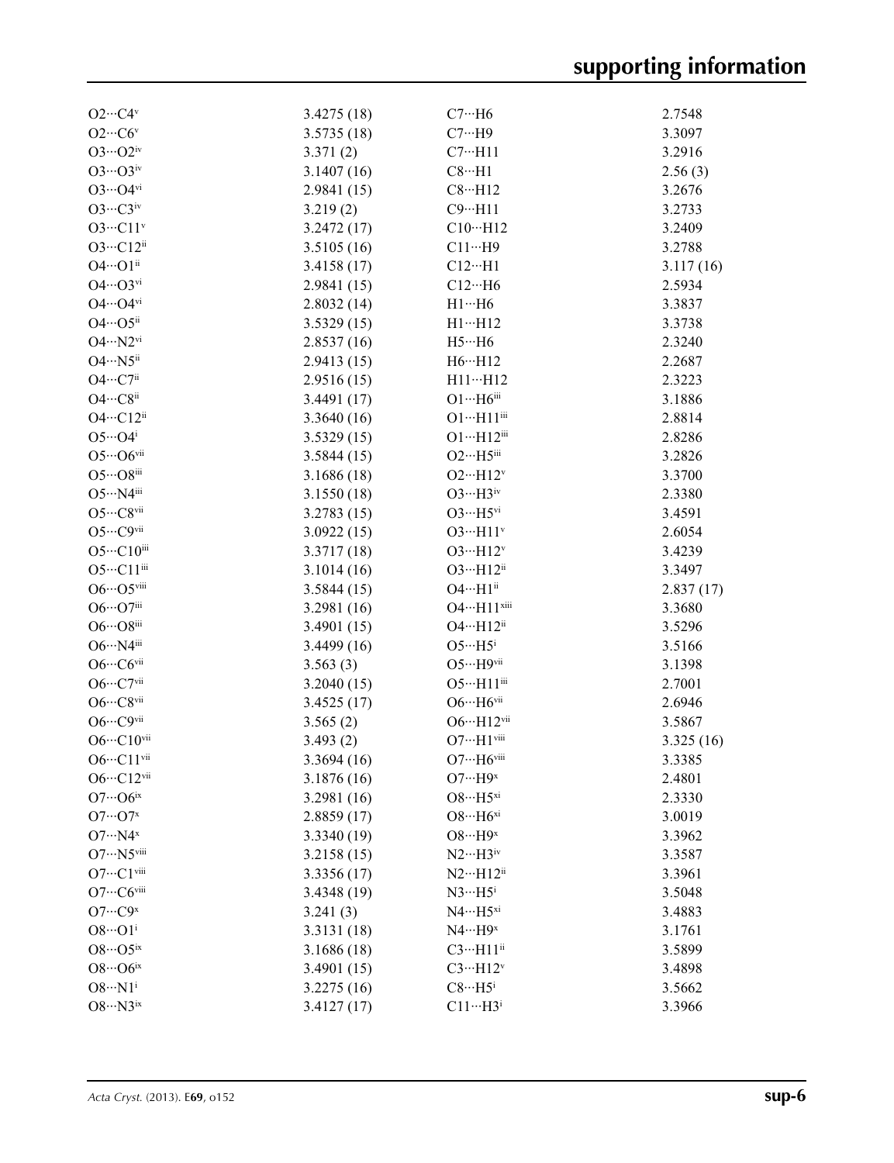| $O2 \cdots C4$ <sup>v</sup>              | 3.4275(18)               | $C7 \cdot \cdot \cdot H6$                 | 2.7548    |
|------------------------------------------|--------------------------|-------------------------------------------|-----------|
| $O2\cdots CO\prime$                      | 3.5735(18)               | $C7 \cdot \cdot H9$                       | 3.3097    |
| $O3\cdots O2^{\rm iv}$                   | 3.371(2)                 | $C7 \cdot \cdot \cdot H11$                | 3.2916    |
| $O3 \cdots O3$ iv                        | 3.1407(16)               | $C8 \cdot \cdot \cdot H1$                 | 2.56(3)   |
| $O3\cdots O4$ <sup>vi</sup>              | 2.9841 (15)              | $C8 \cdot \cdot \cdot H12$                | 3.2676    |
| $O3 \cdots C3$ iv                        | 3.219(2)                 | $C9 \cdot \cdot \cdot H11$                | 3.2733    |
| $O3 \cdot \cdot \cdot C11$ <sup>v</sup>  | 3.2472 (17)              | $C10 \cdots H12$                          | 3.2409    |
| $O3 \cdot \cdot \cdot C12$ <sup>ii</sup> | 3.5105(16)               | $C11\cdots H9$                            | 3.2788    |
| 04…01ii                                  | 3.4158(17)               | $C12\cdots H1$                            | 3.117(16) |
| $O4\cdots O3$ <sup>vi</sup>              | 2.9841(15)               | $C12\cdots H6$                            | 2.5934    |
| $O4\cdots O4$ <sup>vi</sup>              | 2.8032(14)               | $H1 \cdots H6$                            | 3.3837    |
| $O4 \cdots O5$ <sup>ii</sup>             | 3.5329(15)               | $H1 \cdots H12$                           | 3.3738    |
| $O4 \cdots N2^{vi}$                      | 2.8537(16)               | $H5\cdots H6$                             | 2.3240    |
| $O4 \cdot \cdot \cdot N5^{ii}$           | 2.9413(15)               | H6…H12                                    | 2.2687    |
| $O4 \cdots C7$ <sup>ii</sup>             | 2.9516(15)               | $H11 \cdots H12$                          | 2.3223    |
| $O4 \cdots C8$ ii                        | 3.4491(17)               | $O1 \cdots H6$ iii                        | 3.1886    |
| $O4 \cdots C12^{ii}$                     | 3.3640(16)               | $O1 \cdots H11$ iii                       | 2.8814    |
| $O5\cdots O4^i$                          |                          | $O1 \cdot \cdot \cdot H12$ <sup>iii</sup> | 2.8286    |
| $O5\cdots O6$ vii                        | 3.5329(15)<br>3.5844(15) | $O2 \cdot \cdot \cdot H5$ iii             | 3.2826    |
| $O5\cdots O8$ iii                        |                          |                                           |           |
|                                          | 3.1686 (18)              | $O2 \cdot \cdot \cdot H12$ <sup>v</sup>   | 3.3700    |
| $O5 \cdot \cdot \cdot N4$ iii            | 3.1550(18)               | $O3 \cdot \cdot \cdot H3$ <sup>iv</sup>   | 2.3380    |
| $O5\cdots C8$ vii                        | 3.2783(15)               | $O3 \cdot \cdot \cdot H5$ <sup>vi</sup>   | 3.4591    |
| O5…C9vii                                 | 3.0922(15)               | $O3 \cdot \cdot \cdot H11$ <sup>v</sup>   | 2.6054    |
| $O5\cdots C10^{iii}$                     | 3.3717 (18)              | $O3 \cdot \cdot \cdot H12^v$              | 3.4239    |
| O5…C11iii                                | 3.1014(16)               | $O3 \cdot \cdot \cdot H12$ <sup>ii</sup>  | 3.3497    |
| $O6 \cdots O5$ viii                      | 3.5844(15)               | $O4 \cdot \cdot \cdot H1$ <sup>ii</sup>   | 2.837(17) |
| $O6 \cdots O7$ iii                       | 3.2981 (16)              | O4…H11xiii                                | 3.3680    |
| $O6 \cdots O8$ iii                       | 3.4901(15)               | O4…H12ii                                  | 3.5296    |
| O6…N4iii                                 | 3.4499 (16)              | $O5 \cdot \cdot \cdot H5^i$               | 3.5166    |
| $O6 \cdots COvii$                        | 3.563(3)                 | $O5 \cdot \cdot \cdot H9$ vii             | 3.1398    |
| $O6 \cdots C7$ vii                       | 3.2040(15)               | O5…H11iii                                 | 2.7001    |
| $O6 \cdots C8$ vii                       | 3.4525(17)               | $O6 \cdot \cdot \cdot H6$ vii             | 2.6946    |
| $O6 \cdots C9$ vii                       | 3.565(2)                 | $O6 \cdot \cdot \cdot H12$ <sup>vii</sup> | 3.5867    |
| $O6 \cdots C10$ vii                      | 3.493(2)                 | $O7 \cdot \cdot \cdot H1$ <sup>viii</sup> | 3.325(16) |
| $O6 \cdots C11$ vii                      | 3.3694 (16)              | $O7 \cdots H6$ viii                       | 3.3385    |
| $O6 \cdot \cdot \cdot C12$ vii           | 3.1876 (16)              | $O7 \cdot \cdot \cdot H9^x$               | 2.4801    |
| $O7 \cdots O6$ <sup>ix</sup>             | 3.2981 (16)              | $O8 \cdot \cdot \cdot H5^{xi}$            | 2.3330    |
| $O7 \cdots O7$ <sup>x</sup>              | 2.8859(17)               | $O8 \cdot \cdot \cdot H6^{xi}$            | 3.0019    |
| $O7 \cdot \cdot \cdot N4^x$              | 3.3340 (19)              | $O8 \cdot \cdot \cdot H9^x$               | 3.3962    |
| O7…N5viii                                | 3.2158(15)               | $N2 \cdots H3$ iv                         | 3.3587    |
| $O7 \cdot \cdot \cdot C1$ viii           | 3.3356 (17)              | $N2 \cdots H12$ <sup>ii</sup>             | 3.3961    |
| $O7 \cdots COviii$                       | 3.4348 (19)              | $N3 \cdots H5^i$                          | 3.5048    |
| $O7 \cdots C9$ <sup>x</sup>              | 3.241(3)                 | $N4 \cdots H5^{xi}$                       | 3.4883    |
| $O8 \cdot \cdot \cdot O1^1$              | 3.3131 (18)              | $N4 \cdots H9^x$                          | 3.1761    |
| $O8\cdots O5^{ix}$                       | 3.1686 (18)              | $C3 \cdot \cdot \cdot H11$ <sup>ii</sup>  | 3.5899    |
| $O8\cdots O6^{ix}$                       | 3.4901 (15)              | $C3 \cdots H12^v$                         | 3.4898    |
| $O8 \cdot \cdot \cdot N1^i$              | 3.2275(16)               | $C8 \cdots H5^i$                          | 3.5662    |
| $O8 \cdot \cdot \cdot N3^{ix}$           | 3.4127(17)               | $C11 \cdots H3$ <sup>i</sup>              | 3.3966    |
|                                          |                          |                                           |           |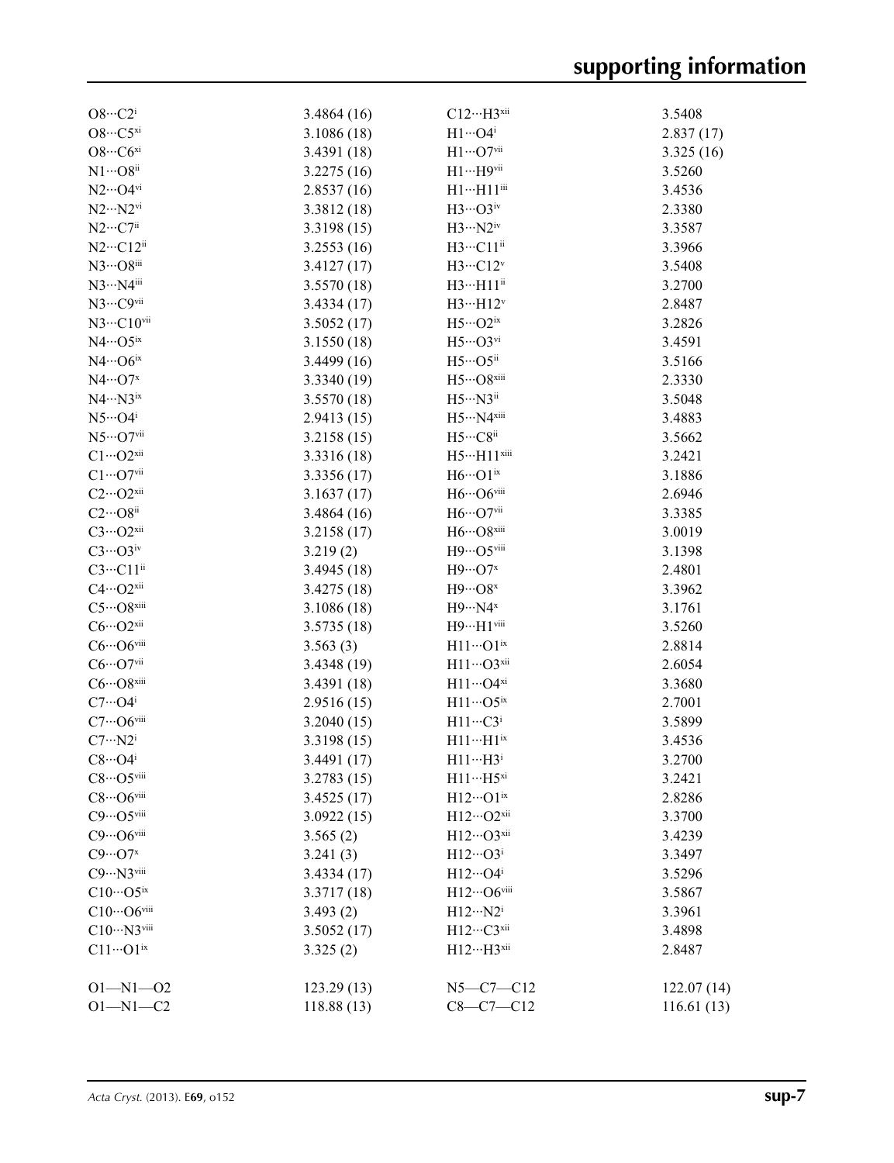| $O8 \cdot \cdot \cdot C2^1$    | 3.4864(16)  | $C12 \cdots H3$ <sup>xii</sup>                | 3.5408     |
|--------------------------------|-------------|-----------------------------------------------|------------|
| $O8\cdot \cdot \cdot C5^{xi}$  | 3.1086 (18) | $H1 \cdots O4$ <sup>i</sup>                   | 2.837(17)  |
| $O8\cdots COxi$                | 3.4391 (18) | $H1\cdots O7$ vii                             | 3.325(16)  |
| $N1 \cdots Q8$ <sup>ii</sup>   | 3.2275(16)  | $H1 \cdots H9$ vii                            | 3.5260     |
| $N2\cdots$ O4 $\rm{vi}$        | 2.8537(16)  | $\rm H1{\cdots}H11^{\rm iii}$                 | 3.4536     |
| $N2 \cdots N2$ <sup>vi</sup>   | 3.3812(18)  | $H3\cdots$ O3iv                               | 2.3380     |
| $N2\cdots C7^{ii}$             | 3.3198(15)  | $H3 \cdots N2^{iv}$                           | 3.3587     |
| $N2 \cdots C12$ <sup>ii</sup>  | 3.2553(16)  | H3…C11ii                                      | 3.3966     |
| N3…O8iii                       | 3.4127(17)  | H3…C12v                                       | 3.5408     |
| N3…N4iii                       | 3.5570(18)  | $H3 \cdots H11$ <sup>ii</sup>                 | 3.2700     |
| N3…C9vii                       | 3.4334(17)  | $H3 \cdots H12^v$                             | 2.8487     |
| $N3 \cdots C10$ <sup>vii</sup> | 3.5052(17)  | $H5\cdots O2^{ix}$                            | 3.2826     |
| $N4\cdots$ O5ix                | 3.1550(18)  | $H5\cdots$ O3vi                               | 3.4591     |
| $N4 \cdots O6^{ix}$            | 3.4499(16)  | $H5\cdots$ O5 <sup>ii</sup>                   | 3.5166     |
| $N4\cdots O7^x$                | 3.3340 (19) | $\rm H5{\cdots}O8^{xiii}$                     | 2.3330     |
| $N4 \cdots N3$ <sup>ix</sup>   | 3.5570 (18) | $H5\cdots N3$ <sup>ii</sup>                   | 3.5048     |
| $N5\cdot \cdot \cdot O4^i$     | 2.9413(15)  | $H5\cdots N4^{xiii}$                          | 3.4883     |
| $N5\cdots$ O7vii               | 3.2158(15)  | $H5\cdots C8$ ii                              | 3.5662     |
| $C1 \cdots O2^{xii}$           | 3.3316 (18) | H5…H11 <sup>xiii</sup>                        | 3.2421     |
| $C1 \cdots O7$ vii             | 3.3356 (17) | $H6\cdots O1^{\rm ix}$                        | 3.1886     |
| $C2\cdots O2^{xii}$            | 3.1637(17)  | H6…O6viii                                     | 2.6946     |
| $C2\cdots O8$ <sup>ii</sup>    | 3.4864(16)  | $\mathrm{H}6\cdots\mathrm{O}7^{\mathrm{vii}}$ | 3.3385     |
| $C3\cdots O2^{xii}$            | 3.2158(17)  | $H6\cdots$ O8xiii                             | 3.0019     |
| $C3 \cdots O3$ iv              | 3.219(2)    | H9…O5viii                                     | 3.1398     |
| $C3 \cdots C11$ <sup>ii</sup>  | 3.4945(18)  | $H9\cdots$ O7 <sup>x</sup>                    | 2.4801     |
| $C4 \cdots O2^{xii}$           | 3.4275 (18) | $H9\cdots Os^{x}$                             | 3.3962     |
| $C5\cdots$ O8xiii              | 3.1086(18)  | $H9 \cdots N4$ <sup>x</sup>                   | 3.1761     |
| $C6\cdots O2^{xii}$            | 3.5735(18)  | $H9 \cdots H1$ viii                           | 3.5260     |
| $C6\cdots$ O6viii              | 3.563(3)    | $H11\cdots O1ix$                              | 2.8814     |
| $C6\cdots O7$ vii              | 3.4348(19)  | $H11\cdots$ O3xii                             | 2.6054     |
| $C6\cdots O8$ xiii             | 3.4391(18)  | $H11\cdots O4^{xi}$                           | 3.3680     |
| $C7 \cdots O4^i$               | 2.9516(15)  | $H11\cdots$ O5ix                              | 2.7001     |
| $C7 \cdots O6$ viii            | 3.2040(15)  | $H11 \cdots C3$ <sup>i</sup>                  | 3.5899     |
| $C7 \cdots N2^i$               | 3.3198(15)  | $H11 \cdots H1$ <sup>ix</sup>                 | 3.4536     |
| $C8 \cdot \cdot \cdot O4^i$    | 3.4491 (17) | $H11 \cdots H3$                               | 3.2700     |
| $C8\cdots$ O5viii              | 3.2783(15)  | $H11 \cdots H5^{xi}$                          | 3.2421     |
| $C8\cdots$ O6viii              | 3.4525(17)  | $H12\cdots O1^{ix}$                           | 2.8286     |
| $C9 \cdots O5$ viii            | 3.0922(15)  | H12…O2xii                                     | 3.3700     |
| $C9\cdots$ O6viii              | 3.565(2)    | H12…O3xii                                     | 3.4239     |
| $C9 \cdots O7$ <sup>x</sup>    | 3.241(3)    | $H12\cdots O3^i$                              | 3.3497     |
| $C9 \cdots N3$ viii            | 3.4334(17)  | $H12\cdots O4^i$                              | 3.5296     |
| $C10\cdots$ O5 <sup>ix</sup>   | 3.3717(18)  | H12…O6viii                                    | 3.5867     |
| $C10\cdots$ O6viii             | 3.493(2)    | $H12 \cdots N2^i$                             | 3.3961     |
| $C10\cdots N3$ viii            | 3.5052(17)  | H12…C3 <sup>xii</sup>                         | 3.4898     |
| $C11 \cdots O1$ <sup>ix</sup>  | 3.325(2)    | $H12 \cdots H3$ <sup>xii</sup>                | 2.8487     |
|                                |             |                                               |            |
| $O1 - N1 - O2$                 | 123.29(13)  | $N5 - C7 - C12$                               | 122.07(14) |
| $O1 - N1 - C2$                 | 118.88(13)  | $C8 - C7 - C12$                               | 116.61(13) |
|                                |             |                                               |            |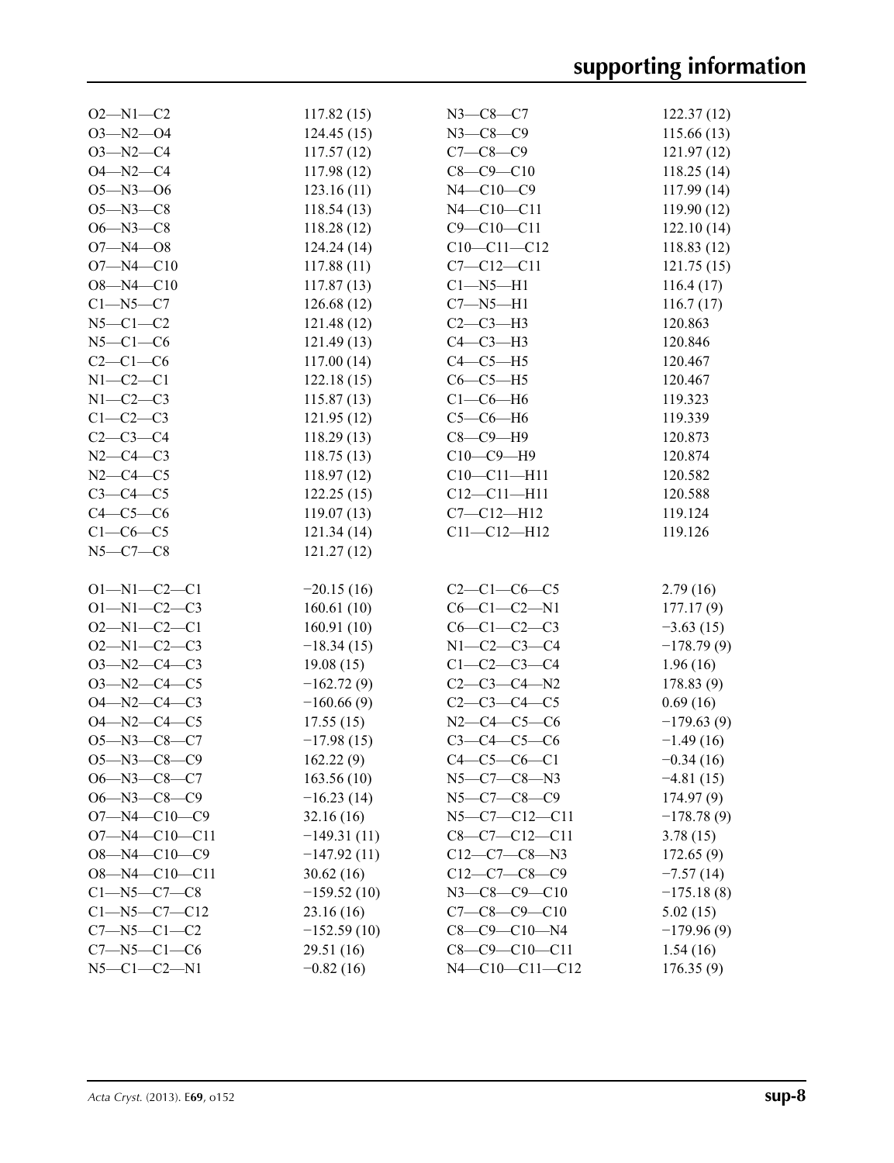| $O2 - N1 - C2$        | 117.82(15)    | $N3 - C8 - C7$         | 122.37(12)   |
|-----------------------|---------------|------------------------|--------------|
| $O3 - N2 - O4$        | 124.45(15)    | $N3 - C8 - C9$         | 115.66(13)   |
| $O3 - N2 - C4$        | 117.57(12)    | $C7 - C8 - C9$         | 121.97(12)   |
| $O4 - N2 - C4$        | 117.98(12)    | $C8 - C9 - C10$        | 118.25(14)   |
| $O5 - N3 - O6$        | 123.16(11)    | $N4 - C10 - C9$        | 117.99(14)   |
| $O5 - N3 - C8$        | 118.54(13)    | $N4 - C10 - C11$       | 119.90(12)   |
| $O6 - N3 - C8$        | 118.28(12)    | $C9 - C10 - C11$       | 122.10(14)   |
| $O7 - N4 - O8$        | 124.24(14)    | $C10-C11-C12$          | 118.83 (12)  |
| $O7 - N4 - C10$       | 117.88(11)    | $C7 - C12 - C11$       | 121.75(15)   |
| $O8 - N4 - C10$       | 117.87(13)    | $C1 - N5 - H1$         | 116.4(17)    |
| $C1 - N5 - C7$        | 126.68(12)    | $C7 - N5 - H1$         | 116.7(17)    |
| $N5-C1-C2$            | 121.48(12)    | $C2-C3-H3$             | 120.863      |
| $N5-C1-C6$            | 121.49(13)    | $C4-C3-H3$             | 120.846      |
| $C2-C1-C6$            | 117.00(14)    | $C4-C5-H5$             | 120.467      |
| $N1-C2-C1$            | 122.18(15)    | $C6-C5-H5$             | 120.467      |
| $N1-C2-C3$            | 115.87(13)    | $C1-C6-H6$             | 119.323      |
| $C1-C2-C3$            | 121.95(12)    | $C5-C6-H6$             | 119.339      |
| $C2-C3-C4$            | 118.29(13)    | $C8-C9-H9$             | 120.873      |
| $N2-C4-C3$            | 118.75(13)    | $C10-C9-H9$            | 120.874      |
| $N2 - C4 - C5$        | 118.97(12)    | $C10 - C11 - H11$      | 120.582      |
| $C3-C4-C5$            | 122.25(15)    | $C12 - C11 - H11$      | 120.588      |
| $C4-C5-C6$            | 119.07(13)    | $C7 - C12 - H12$       | 119.124      |
| $C1-C6-C5$            | 121.34(14)    | $C11 - C12 - H12$      | 119.126      |
| $N5 - C7 - C8$        | 121.27(12)    |                        |              |
|                       |               |                        |              |
| $O1 - N1 - C2 - C1$   | $-20.15(16)$  | $C2-C1-C6-C5$          | 2.79(16)     |
| $O1 - N1 - C2 - C3$   | 160.61(10)    | $C6 - C1 - C2 - N1$    | 177.17(9)    |
| $O2 - N1 - C2 - C1$   | 160.91(10)    | $C6-C1-C2-C3$          | $-3.63(15)$  |
| $O2 - N1 - C2 - C3$   | $-18.34(15)$  | $N1 - C2 - C3 - C4$    | $-178.79(9)$ |
| $O3 - N2 - C4 - C3$   | 19.08(15)     | $C1-C2-C3-C4$          | 1.96(16)     |
| $O3 - N2 - C4 - C5$   | $-162.72(9)$  | $C2-C3-C4-N2$          | 178.83(9)    |
| $O4 - N2 - C4 - C3$   | $-160.66(9)$  | $C2-C3-C4-C5$          | 0.69(16)     |
| $O4 - N2 - C4 - C5$   | 17.55(15)     | $N2-C4-C5-C6$          | $-179.63(9)$ |
| $O5 - N3 - C8 - C7$   | $-17.98(15)$  | $C3 - C4 - C5 - C6$    | $-1.49(16)$  |
| O5-N3-C8-C9           | 162.22(9)     | $C4 - C5 - C6 - C1$    | $-0.34(16)$  |
| $O6 - N3 - C8 - C7$   | 163.56(10)    | $N5 - C7 - C8 - N3$    | $-4.81(15)$  |
| $O6 - N3 - C8 - C9$   | $-16.23(14)$  | $N5 - C7 - C8 - C9$    | 174.97(9)    |
| $O7 - N4 - C10 - C9$  | 32.16(16)     | $N5-C7-C12-C11$        | $-178.78(9)$ |
| $O7 - N4 - C10 - C11$ | $-149.31(11)$ | $C8-C7-C12-C11$        | 3.78(15)     |
| $O8 - N4 - C10 - C9$  | $-147.92(11)$ | $C12-C7-C8-N3$         | 172.65(9)    |
| $O8 - N4 - C10 - C11$ | 30.62(16)     | $C12-C7-C8-C9$         | $-7.57(14)$  |
| $C1 - N5 - C7 - C8$   | $-159.52(10)$ | $N3 - C8 - C9 - C10$   | $-175.18(8)$ |
| $C1 - N5 - C7 - C12$  | 23.16(16)     | $C7-C8-C9-C10$         | 5.02(15)     |
| $C7 - N5 - C1 - C2$   | $-152.59(10)$ | $C8 - C9 - C10 - N4$   | $-179.96(9)$ |
| $C7 - N5 - C1 - C6$   | 29.51 (16)    | $C8-C9-C10-C11$        | 1.54(16)     |
| $N5 - C1 - C2 - N1$   | $-0.82(16)$   | $N4 - C10 - C11 - C12$ | 176.35(9)    |